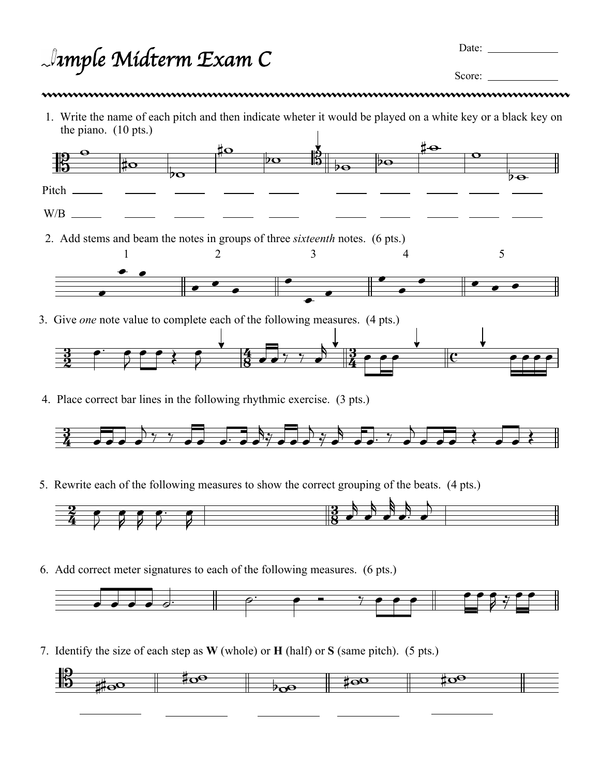## *Sample Midterm Exam* C

Date:

Score:

1. Write the name of each pitch and then indicate wheter it would be played on a white key or a black key on the piano. (10 pts.)



4. Place correct bar lines in the following rhythmic exercise. (3 pts.)



5. Rewrite each of the following measures to show the correct grouping of the beats. (4 pts.)



6. Add correct meter signatures to each of the following measures. (6 pts.)



7. Identify the size of each step as **W** (whole) or **H** (half) or **S** (same pitch). (5 pts.)

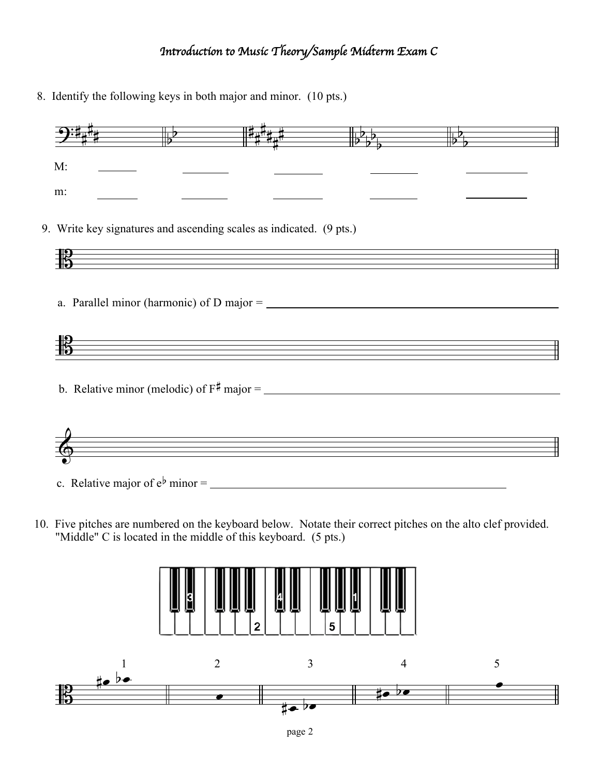## *Introduction to Music Theory/Sample Midterm Exam* C

8. Identify the following keys in both major and minor. (10 pts.)

| $\frac{1}{10}$                                                                                                                                                                 |
|--------------------------------------------------------------------------------------------------------------------------------------------------------------------------------|
| M:                                                                                                                                                                             |
| $m$ :                                                                                                                                                                          |
| 9. Write key signatures and ascending scales as indicated. (9 pts.)                                                                                                            |
|                                                                                                                                                                                |
| a. Parallel minor (harmonic) of D major = $\_\_\_\_\_\_\_\_\_\_$                                                                                                               |
|                                                                                                                                                                                |
| b. Relative minor (melodic) of $F^{\sharp}$ major =                                                                                                                            |
|                                                                                                                                                                                |
|                                                                                                                                                                                |
| 10. Five pitches are numbered on the keyboard below. Notate their correct pitches on the alto clef provided.<br>"Middle" C is located in the middle of this keyboard. (5 pts.) |

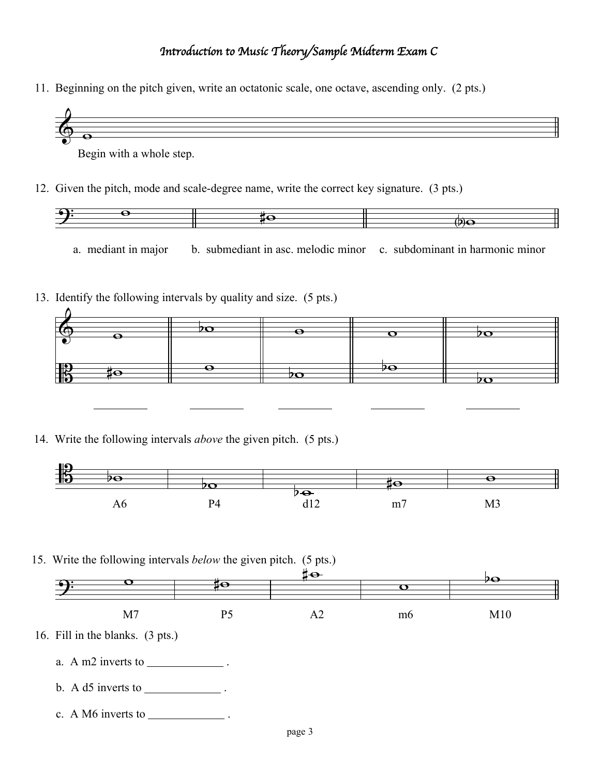## *Introduction to Music Theory/Sample Midterm Exam* C

11. Beginning on the pitch given, write an octatonic scale, one octave, ascending only. (2 pts.)



Begin with a whole step.

12. Given the pitch, mode and scale-degree name, write the correct key signature. (3 pts.)



- a. mediant in major b. submediant in asc. melodic minor c. subdominant in harmonic minor
- 13. Identify the following intervals by quality and size. (5 pts.)



14. Write the following intervals *above* the given pitch. (5 pts.)



15. Write the following intervals *below* the given pitch. (5 pts.)